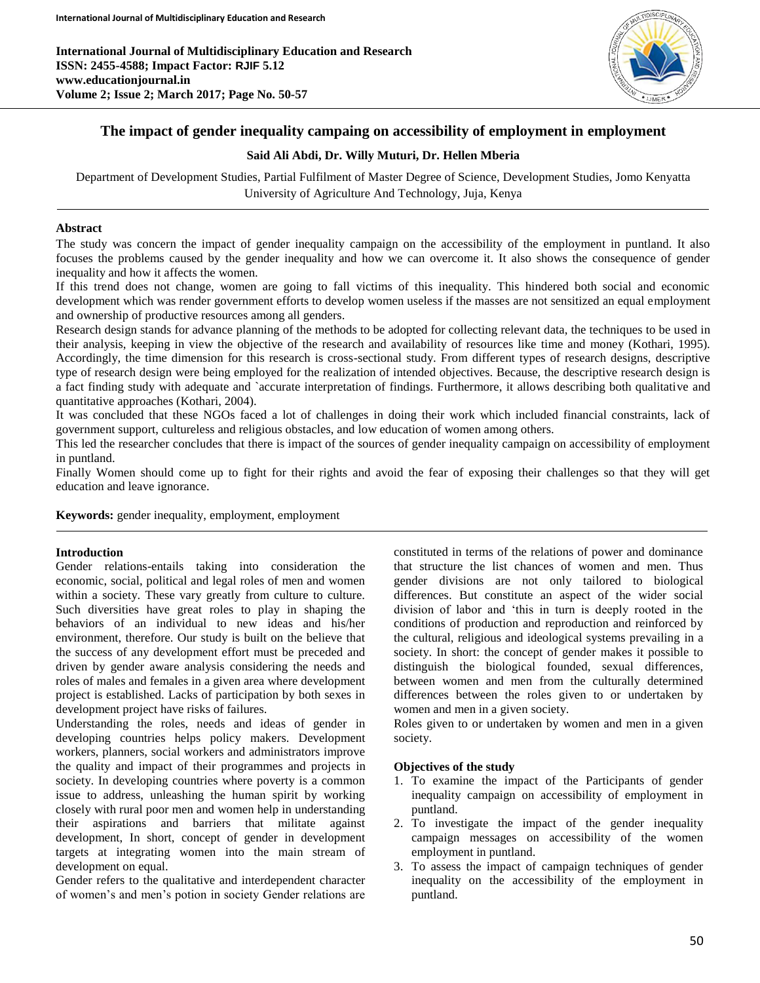

# **The impact of gender inequality campaing on accessibility of employment in employment**

## **Said Ali Abdi, Dr. Willy Muturi, Dr. Hellen Mberia**

Department of Development Studies, Partial Fulfilment of Master Degree of Science, Development Studies, Jomo Kenyatta University of Agriculture And Technology, Juja, Kenya

# **Abstract**

The study was concern the impact of gender inequality campaign on the accessibility of the employment in puntland. It also focuses the problems caused by the gender inequality and how we can overcome it. It also shows the consequence of gender inequality and how it affects the women.

If this trend does not change, women are going to fall victims of this inequality. This hindered both social and economic development which was render government efforts to develop women useless if the masses are not sensitized an equal employment and ownership of productive resources among all genders.

Research design stands for advance planning of the methods to be adopted for collecting relevant data, the techniques to be used in their analysis, keeping in view the objective of the research and availability of resources like time and money (Kothari, 1995). Accordingly, the time dimension for this research is cross-sectional study. From different types of research designs, descriptive type of research design were being employed for the realization of intended objectives. Because, the descriptive research design is a fact finding study with adequate and `accurate interpretation of findings. Furthermore, it allows describing both qualitative and quantitative approaches (Kothari, 2004).

It was concluded that these NGOs faced a lot of challenges in doing their work which included financial constraints, lack of government support, cultureless and religious obstacles, and low education of women among others.

This led the researcher concludes that there is impact of the sources of gender inequality campaign on accessibility of employment in puntland.

Finally Women should come up to fight for their rights and avoid the fear of exposing their challenges so that they will get education and leave ignorance.

**Keywords:** gender inequality, employment, employment

## **Introduction**

Gender relations-entails taking into consideration the economic, social, political and legal roles of men and women within a society. These vary greatly from culture to culture. Such diversities have great roles to play in shaping the behaviors of an individual to new ideas and his/her environment, therefore. Our study is built on the believe that the success of any development effort must be preceded and driven by gender aware analysis considering the needs and roles of males and females in a given area where development project is established. Lacks of participation by both sexes in development project have risks of failures.

Understanding the roles, needs and ideas of gender in developing countries helps policy makers. Development workers, planners, social workers and administrators improve the quality and impact of their programmes and projects in society. In developing countries where poverty is a common issue to address, unleashing the human spirit by working closely with rural poor men and women help in understanding their aspirations and barriers that militate against development, In short, concept of gender in development targets at integrating women into the main stream of development on equal.

Gender refers to the qualitative and interdependent character of women's and men's potion in society Gender relations are

constituted in terms of the relations of power and dominance that structure the list chances of women and men. Thus gender divisions are not only tailored to biological differences. But constitute an aspect of the wider social division of labor and 'this in turn is deeply rooted in the conditions of production and reproduction and reinforced by the cultural, religious and ideological systems prevailing in a society. In short: the concept of gender makes it possible to distinguish the biological founded, sexual differences, between women and men from the culturally determined differences between the roles given to or undertaken by women and men in a given society.

Roles given to or undertaken by women and men in a given society.

## **Objectives of the study**

- 1. To examine the impact of the Participants of gender inequality campaign on accessibility of employment in puntland.
- 2. To investigate the impact of the gender inequality campaign messages on accessibility of the women employment in puntland.
- 3. To assess the impact of campaign techniques of gender inequality on the accessibility of the employment in puntland.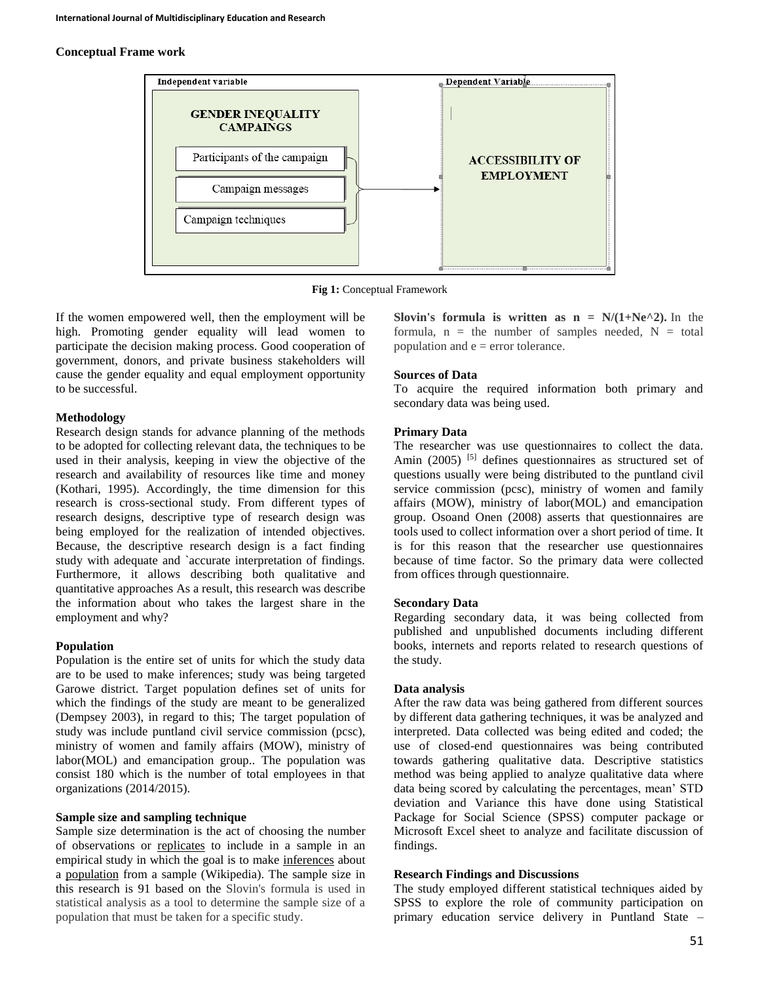#### **Conceptual Frame work**



**Fig 1:** Conceptual Framework

If the women empowered well, then the employment will be high. Promoting gender equality will lead women to participate the decision making process. Good cooperation of government, donors, and private business stakeholders will cause the gender equality and equal employment opportunity to be successful.

### **Methodology**

Research design stands for advance planning of the methods to be adopted for collecting relevant data, the techniques to be used in their analysis, keeping in view the objective of the research and availability of resources like time and money (Kothari, 1995). Accordingly, the time dimension for this research is cross-sectional study. From different types of research designs, descriptive type of research design was being employed for the realization of intended objectives. Because, the descriptive research design is a fact finding study with adequate and `accurate interpretation of findings. Furthermore, it allows describing both qualitative and quantitative approaches As a result, this research was describe the information about who takes the largest share in the employment and why?

## **Population**

Population is the entire set of units for which the study data are to be used to make inferences; study was being targeted Garowe district. Target population defines set of units for which the findings of the study are meant to be generalized (Dempsey 2003), in regard to this; The target population of study was include puntland civil service commission (pcsc), ministry of women and family affairs (MOW), ministry of labor(MOL) and emancipation group.. The population was consist 180 which is the number of total employees in that organizations (2014/2015).

### **Sample size and sampling technique**

Sample size determination is the act of choosing the number of observations or [replicates](http://en.wikipedia.org/wiki/Replication_%28statistics%29) to include in a sample in an empirical study in which the goal is to make [inferences](http://en.wikipedia.org/wiki/Statistical_inference) about a [population](http://en.wikipedia.org/wiki/Statistical_population) from a sample (Wikipedia). The sample size in this research is 91 based on the Slovin's formula is used in statistical analysis as a tool to determine the sample size of a population that must be taken for a specific study.

**Slovin's formula is written as**  $n = N/(1+Ne^{\lambda}2)$ **.** In the formula,  $n =$  the number of samples needed,  $N =$  total population and  $e = error$  tolerance.

#### **Sources of Data**

To acquire the required information both primary and secondary data was being used.

### **Primary Data**

The researcher was use questionnaires to collect the data. Amin (2005) <sup>[5]</sup> defines questionnaires as structured set of questions usually were being distributed to the puntland civil service commission (pcsc), ministry of women and family affairs (MOW), ministry of labor(MOL) and emancipation group. Osoand Onen (2008) asserts that questionnaires are tools used to collect information over a short period of time. It is for this reason that the researcher use questionnaires because of time factor. So the primary data were collected from offices through questionnaire.

### **Secondary Data**

Regarding secondary data, it was being collected from published and unpublished documents including different books, internets and reports related to research questions of the study.

#### **Data analysis**

After the raw data was being gathered from different sources by different data gathering techniques, it was be analyzed and interpreted. Data collected was being edited and coded; the use of closed-end questionnaires was being contributed towards gathering qualitative data. Descriptive statistics method was being applied to analyze qualitative data where data being scored by calculating the percentages, mean' STD deviation and Variance this have done using Statistical Package for Social Science (SPSS) computer package or Microsoft Excel sheet to analyze and facilitate discussion of findings.

#### **Research Findings and Discussions**

The study employed different statistical techniques aided by SPSS to explore the role of community participation on primary education service delivery in Puntland State –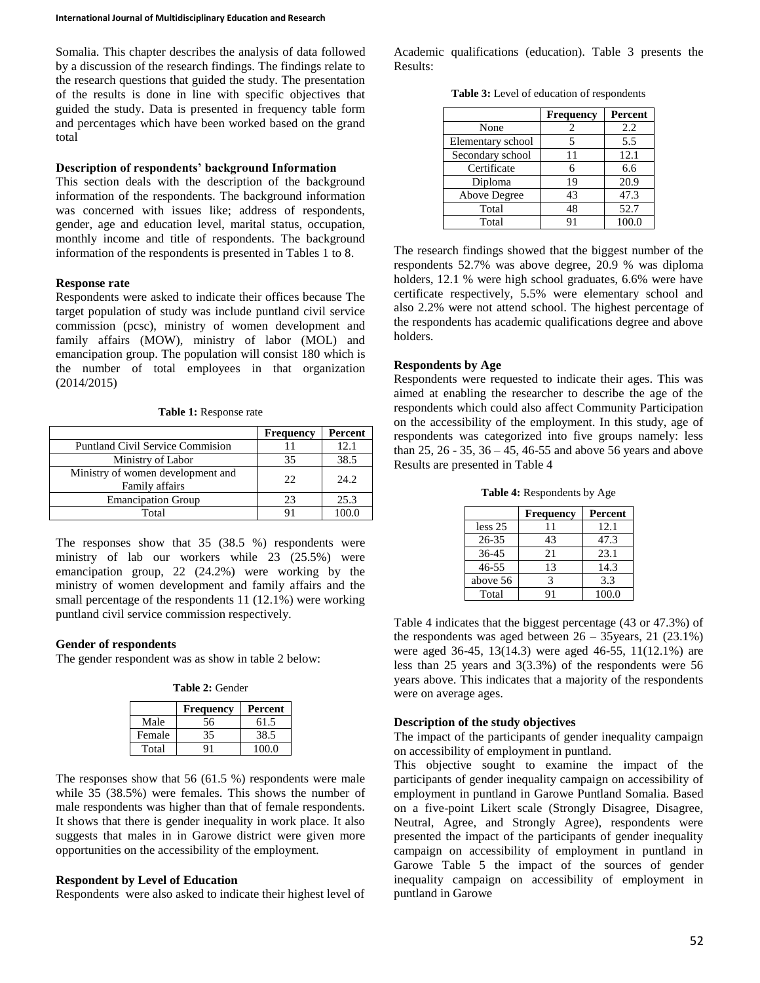Somalia. This chapter describes the analysis of data followed by a discussion of the research findings. The findings relate to the research questions that guided the study. The presentation of the results is done in line with specific objectives that guided the study. Data is presented in frequency table form and percentages which have been worked based on the grand total

#### **Description of respondents' background Information**

This section deals with the description of the background information of the respondents. The background information was concerned with issues like; address of respondents, gender, age and education level, marital status, occupation, monthly income and title of respondents. The background information of the respondents is presented in Tables 1 to 8.

### **Response rate**

Respondents were asked to indicate their offices because The target population of study was include puntland civil service commission (pcsc), ministry of women development and family affairs (MOW), ministry of labor (MOL) and emancipation group. The population will consist 180 which is the number of total employees in that organization (2014/2015)

**Table 1:** Response rate

|                                                     | Frequency | Percent |
|-----------------------------------------------------|-----------|---------|
| <b>Puntland Civil Service Commission</b>            |           | 12.1    |
| Ministry of Labor                                   | 35        | 38.5    |
| Ministry of women development and<br>Family affairs | 22        | 24.2    |
| <b>Emancipation Group</b>                           | 23        | 25.3    |
| Total                                               |           |         |

The responses show that 35 (38.5 %) respondents were ministry of lab our workers while 23 (25.5%) were emancipation group, 22 (24.2%) were working by the ministry of women development and family affairs and the small percentage of the respondents 11 (12.1%) were working puntland civil service commission respectively.

## **Gender of respondents**

The gender respondent was as show in table 2 below:

**Table 2:** Gender

|        | <b>Frequency</b> | Percent |
|--------|------------------|---------|
| Male   | 56               | 61.5    |
| Female | 35               | 38.5    |
| Total  |                  | 100.0   |

The responses show that 56 (61.5 %) respondents were male while 35 (38.5%) were females. This shows the number of male respondents was higher than that of female respondents. It shows that there is gender inequality in work place. It also suggests that males in in Garowe district were given more opportunities on the accessibility of the employment.

## **Respondent by Level of Education**

Respondents were also asked to indicate their highest level of

Academic qualifications (education). Table 3 presents the Results:

**Table 3:** Level of education of respondents

|                   | <b>Frequency</b> | Percent |
|-------------------|------------------|---------|
| None              |                  | 2.2     |
| Elementary school |                  | 5.5     |
| Secondary school  | 11               | 12.1    |
| Certificate       |                  | 6.6     |
| Diploma           | 19               | 20.9    |
| Above Degree      | 43               | 47.3    |
| Total             | 48               | 52.7    |
| Total             | 91               | 100.0   |

The research findings showed that the biggest number of the respondents 52.7% was above degree, 20.9 % was diploma holders, 12.1 % were high school graduates, 6.6% were have certificate respectively, 5.5% were elementary school and also 2.2% were not attend school. The highest percentage of the respondents has academic qualifications degree and above holders.

# **Respondents by Age**

Respondents were requested to indicate their ages. This was aimed at enabling the researcher to describe the age of the respondents which could also affect Community Participation on the accessibility of the employment. In this study, age of respondents was categorized into five groups namely: less than 25, 26 - 35, 36 – 45, 46-55 and above 56 years and above Results are presented in Table 4

**Table 4:** Respondents by Age

|           | <b>Frequency</b> | Percent |
|-----------|------------------|---------|
| less 25   | 11               | 12.1    |
| $26 - 35$ | 43               | 47.3    |
| $36-45$   | 21               | 23.1    |
| 46-55     | 13               | 14.3    |
| above 56  |                  | 3.3     |
| Total     | 91               | 100.0   |

Table 4 indicates that the biggest percentage (43 or 47.3%) of the respondents was aged between  $26 - 35$ years, 21 (23.1%) were aged 36-45, 13(14.3) were aged 46-55, 11(12.1%) are less than 25 years and 3(3.3%) of the respondents were 56 years above. This indicates that a majority of the respondents were on average ages.

## **Description of the study objectives**

The impact of the participants of gender inequality campaign on accessibility of employment in puntland.

This objective sought to examine the impact of the participants of gender inequality campaign on accessibility of employment in puntland in Garowe Puntland Somalia. Based on a five-point Likert scale (Strongly Disagree, Disagree, Neutral, Agree, and Strongly Agree), respondents were presented the impact of the participants of gender inequality campaign on accessibility of employment in puntland in Garowe Table 5 the impact of the sources of gender inequality campaign on accessibility of employment in puntland in Garowe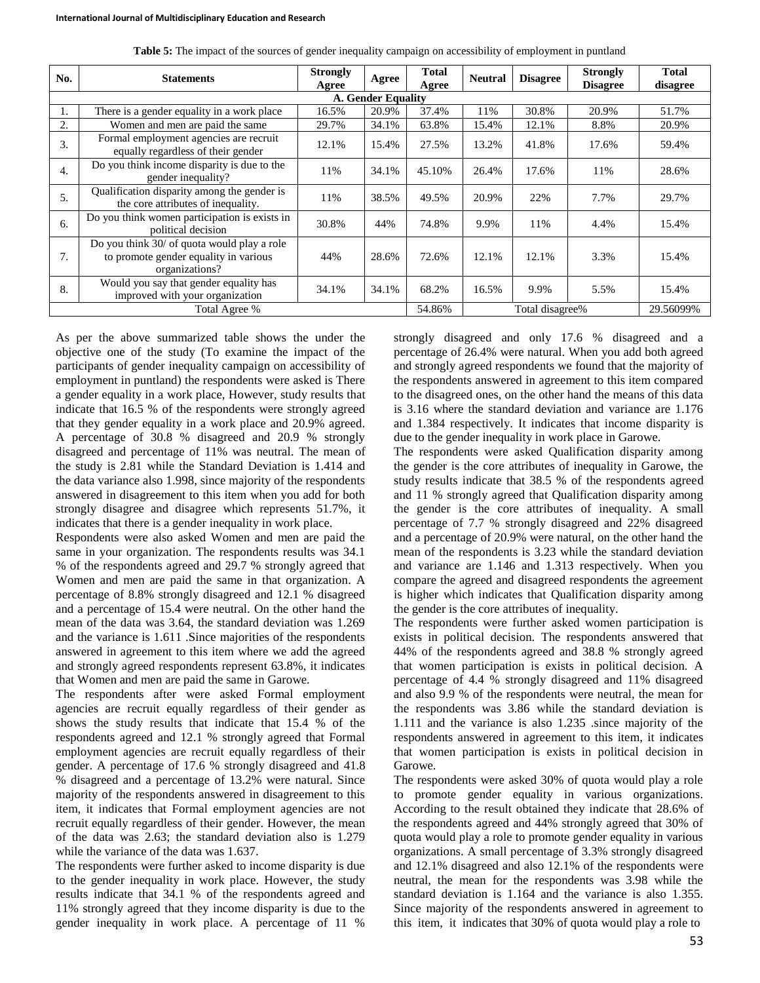| No.                | <b>Statements</b>                                                                                      | <b>Strongly</b><br>Agree                         | Agree  | <b>Total</b><br>Agree | <b>Neutral</b>  | <b>Disagree</b> | <b>Strongly</b><br><b>Disagree</b> | Total<br>disagree |  |
|--------------------|--------------------------------------------------------------------------------------------------------|--------------------------------------------------|--------|-----------------------|-----------------|-----------------|------------------------------------|-------------------|--|
| A. Gender Equality |                                                                                                        |                                                  |        |                       |                 |                 |                                    |                   |  |
| 1.                 | There is a gender equality in a work place                                                             | 30.8%<br>37.4%<br>20.9%<br>20.9%<br>11%<br>16.5% |        |                       |                 |                 |                                    | 51.7%             |  |
| 2.                 | Women and men are paid the same                                                                        | 29.7%                                            | 34.1%  | 63.8%                 | 15.4%           | 12.1%           | 8.8%                               | 20.9%             |  |
| 3.                 | Formal employment agencies are recruit<br>equally regardless of their gender                           | 12.1%                                            | 15.4%  | 27.5%                 | 13.2%           | 41.8%           | 17.6%                              | 59.4%             |  |
| $\overline{4}$ .   | Do you think income disparity is due to the<br>gender inequality?                                      | 11%                                              | 34.1%  | 45.10%                | 26.4%           | 17.6%           | 11%                                | 28.6%             |  |
| 5.                 | Qualification disparity among the gender is<br>the core attributes of inequality.                      | 11%                                              | 38.5%  | 49.5%                 | 20.9%           | 22%             | 7.7%                               | 29.7%             |  |
| 6.                 | Do you think women participation is exists in<br>political decision                                    | 30.8%                                            | 44%    | 74.8%                 | 9.9%            | 11%             | 4.4%                               | 15.4%             |  |
| 7.                 | Do you think 30/ of quota would play a role<br>to promote gender equality in various<br>organizations? | 44%                                              | 28.6%  | 72.6%                 | 12.1%           | 12.1%           | 3.3%                               | 15.4%             |  |
| 8.                 | Would you say that gender equality has<br>improved with your organization                              | 34.1%                                            | 34.1%  | 68.2%                 | 16.5%           | 9.9%            | 5.5%                               | 15.4%             |  |
|                    | Total Agree %                                                                                          |                                                  | 54.86% |                       | Total disagree% |                 | 29.56099%                          |                   |  |

**Table 5:** The impact of the sources of gender inequality campaign on accessibility of employment in puntland

As per the above summarized table shows the under the objective one of the study (To examine the impact of the participants of gender inequality campaign on accessibility of employment in puntland) the respondents were asked is There a gender equality in a work place, However, study results that indicate that 16.5 % of the respondents were strongly agreed that they gender equality in a work place and 20.9% agreed. A percentage of 30.8 % disagreed and 20.9 % strongly disagreed and percentage of 11% was neutral. The mean of the study is 2.81 while the Standard Deviation is 1.414 and the data variance also 1.998, since majority of the respondents answered in disagreement to this item when you add for both strongly disagree and disagree which represents 51.7%, it indicates that there is a gender inequality in work place.

Respondents were also asked Women and men are paid the same in your organization. The respondents results was 34.1 % of the respondents agreed and 29.7 % strongly agreed that Women and men are paid the same in that organization. A percentage of 8.8% strongly disagreed and 12.1 % disagreed and a percentage of 15.4 were neutral. On the other hand the mean of the data was 3.64, the standard deviation was 1.269 and the variance is 1.611 .Since majorities of the respondents answered in agreement to this item where we add the agreed and strongly agreed respondents represent 63.8%, it indicates that Women and men are paid the same in Garowe.

The respondents after were asked Formal employment agencies are recruit equally regardless of their gender as shows the study results that indicate that 15.4 % of the respondents agreed and 12.1 % strongly agreed that Formal employment agencies are recruit equally regardless of their gender. A percentage of 17.6 % strongly disagreed and 41.8 % disagreed and a percentage of 13.2% were natural. Since majority of the respondents answered in disagreement to this item, it indicates that Formal employment agencies are not recruit equally regardless of their gender. However, the mean of the data was 2.63; the standard deviation also is 1.279 while the variance of the data was 1.637.

The respondents were further asked to income disparity is due to the gender inequality in work place. However, the study results indicate that 34.1 % of the respondents agreed and 11% strongly agreed that they income disparity is due to the gender inequality in work place. A percentage of 11 %

strongly disagreed and only 17.6 % disagreed and a percentage of 26.4% were natural. When you add both agreed and strongly agreed respondents we found that the majority of the respondents answered in agreement to this item compared to the disagreed ones, on the other hand the means of this data is 3.16 where the standard deviation and variance are 1.176 and 1.384 respectively. It indicates that income disparity is due to the gender inequality in work place in Garowe.

The respondents were asked Qualification disparity among the gender is the core attributes of inequality in Garowe, the study results indicate that 38.5 % of the respondents agreed and 11 % strongly agreed that Qualification disparity among the gender is the core attributes of inequality. A small percentage of 7.7 % strongly disagreed and 22% disagreed and a percentage of 20.9% were natural, on the other hand the mean of the respondents is 3.23 while the standard deviation and variance are 1.146 and 1.313 respectively. When you compare the agreed and disagreed respondents the agreement is higher which indicates that Qualification disparity among the gender is the core attributes of inequality.

The respondents were further asked women participation is exists in political decision. The respondents answered that 44% of the respondents agreed and 38.8 % strongly agreed that women participation is exists in political decision. A percentage of 4.4 % strongly disagreed and 11% disagreed and also 9.9 % of the respondents were neutral, the mean for the respondents was 3.86 while the standard deviation is 1.111 and the variance is also 1.235 .since majority of the respondents answered in agreement to this item, it indicates that women participation is exists in political decision in Garowe.

The respondents were asked 30% of quota would play a role to promote gender equality in various organizations. According to the result obtained they indicate that 28.6% of the respondents agreed and 44% strongly agreed that 30% of quota would play a role to promote gender equality in various organizations. A small percentage of 3.3% strongly disagreed and 12.1% disagreed and also 12.1% of the respondents were neutral, the mean for the respondents was 3.98 while the standard deviation is 1.164 and the variance is also 1.355. Since majority of the respondents answered in agreement to this item, it indicates that 30% of quota would play a role to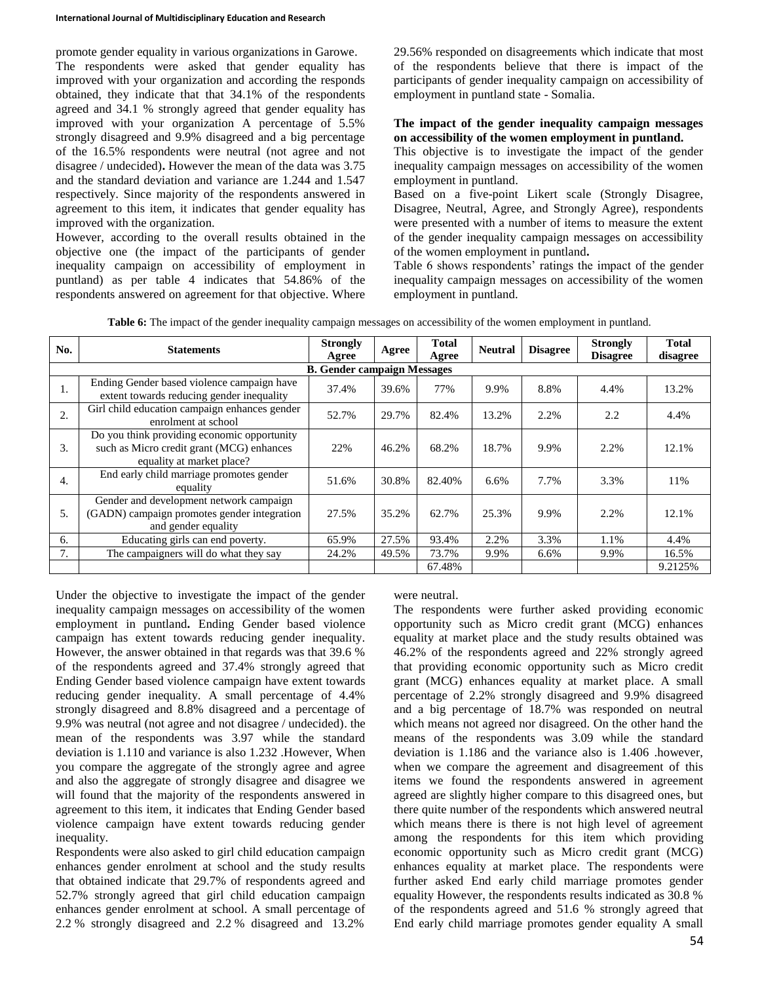promote gender equality in various organizations in Garowe. The respondents were asked that gender equality has improved with your organization and according the responds obtained, they indicate that that 34.1% of the respondents agreed and 34.1 % strongly agreed that gender equality has improved with your organization A percentage of 5.5% strongly disagreed and 9.9% disagreed and a big percentage of the 16.5% respondents were neutral (not agree and not disagree / undecided)**.** However the mean of the data was 3.75 and the standard deviation and variance are 1.244 and 1.547 respectively. Since majority of the respondents answered in agreement to this item, it indicates that gender equality has improved with the organization.

However, according to the overall results obtained in the objective one (the impact of the participants of gender inequality campaign on accessibility of employment in puntland) as per table 4 indicates that 54.86% of the respondents answered on agreement for that objective. Where

29.56% responded on disagreements which indicate that most of the respondents believe that there is impact of the participants of gender inequality campaign on accessibility of employment in puntland state - Somalia.

### **The impact of the gender inequality campaign messages on accessibility of the women employment in puntland.**

This objective is to investigate the impact of the gender inequality campaign messages on accessibility of the women employment in puntland.

Based on a five-point Likert scale (Strongly Disagree, Disagree, Neutral, Agree, and Strongly Agree), respondents were presented with a number of items to measure the extent of the gender inequality campaign messages on accessibility of the women employment in puntland**.**

Table 6 shows respondents' ratings the impact of the gender inequality campaign messages on accessibility of the women employment in puntland.

| No.              | <b>Statements</b>                                                                                                     | <b>Strongly</b> | Agree | Total  | <b>Neutral</b> | <b>Disagree</b> | <b>Strongly</b> | <b>Total</b> |  |  |
|------------------|-----------------------------------------------------------------------------------------------------------------------|-----------------|-------|--------|----------------|-----------------|-----------------|--------------|--|--|
|                  |                                                                                                                       | Agree           | Agree |        |                | <b>Disagree</b> | disagree        |              |  |  |
|                  | <b>B.</b> Gender campaign Messages                                                                                    |                 |       |        |                |                 |                 |              |  |  |
| 1.               | Ending Gender based violence campaign have<br>extent towards reducing gender inequality                               | 37.4%           | 39.6% | 77%    | 9.9%           | 8.8%            | 4.4%            | 13.2%        |  |  |
| 2.               | Girl child education campaign enhances gender<br>enrolment at school                                                  | 52.7%           | 29.7% | 82.4%  | 13.2%          | 2.2%            | 2.2             | 4.4%         |  |  |
| 3.               | Do you think providing economic opportunity<br>such as Micro credit grant (MCG) enhances<br>equality at market place? | 22%             | 46.2% | 68.2%  | 18.7%          | 9.9%            | 2.2%            | 12.1%        |  |  |
| $\overline{4}$ . | End early child marriage promotes gender<br>equality                                                                  | 51.6%           | 30.8% | 82.40% | 6.6%           | 7.7%            | 3.3%            | 11%          |  |  |
| 5.               | Gender and development network campaign<br>(GADN) campaign promotes gender integration<br>and gender equality         | 27.5%           | 35.2% | 62.7%  | 25.3%          | 9.9%            | 2.2%            | 12.1%        |  |  |
| 6.               | Educating girls can end poverty.                                                                                      | 65.9%           | 27.5% | 93.4%  | 2.2%           | 3.3%            | 1.1%            | 4.4%         |  |  |
| 7.               | The campaigners will do what they say                                                                                 | 24.2%           | 49.5% | 73.7%  | 9.9%           | $6.6\%$         | 9.9%            | 16.5%        |  |  |
|                  |                                                                                                                       |                 |       | 67.48% |                |                 |                 | 9.2125%      |  |  |

**Table 6:** The impact of the gender inequality campaign messages on accessibility of the women employment in puntland.

Under the objective to investigate the impact of the gender inequality campaign messages on accessibility of the women employment in puntland**.** Ending Gender based violence campaign has extent towards reducing gender inequality. However, the answer obtained in that regards was that 39.6 % of the respondents agreed and 37.4% strongly agreed that Ending Gender based violence campaign have extent towards reducing gender inequality. A small percentage of 4.4% strongly disagreed and 8.8% disagreed and a percentage of 9.9% was neutral (not agree and not disagree / undecided). the mean of the respondents was 3.97 while the standard deviation is 1.110 and variance is also 1.232 .However, When you compare the aggregate of the strongly agree and agree and also the aggregate of strongly disagree and disagree we will found that the majority of the respondents answered in agreement to this item, it indicates that Ending Gender based violence campaign have extent towards reducing gender inequality.

Respondents were also asked to girl child education campaign enhances gender enrolment at school and the study results that obtained indicate that 29.7% of respondents agreed and 52.7% strongly agreed that girl child education campaign enhances gender enrolment at school. A small percentage of 2.2 % strongly disagreed and 2.2 % disagreed and 13.2%

# were neutral.

The respondents were further asked providing economic opportunity such as Micro credit grant (MCG) enhances equality at market place and the study results obtained was 46.2% of the respondents agreed and 22% strongly agreed that providing economic opportunity such as Micro credit grant (MCG) enhances equality at market place. A small percentage of 2.2% strongly disagreed and 9.9% disagreed and a big percentage of 18.7% was responded on neutral which means not agreed nor disagreed. On the other hand the means of the respondents was 3.09 while the standard deviation is 1.186 and the variance also is 1.406 .however, when we compare the agreement and disagreement of this items we found the respondents answered in agreement agreed are slightly higher compare to this disagreed ones, but there quite number of the respondents which answered neutral which means there is there is not high level of agreement among the respondents for this item which providing economic opportunity such as Micro credit grant (MCG) enhances equality at market place. The respondents were further asked End early child marriage promotes gender equality However, the respondents results indicated as 30.8 % of the respondents agreed and 51.6 % strongly agreed that End early child marriage promotes gender equality A small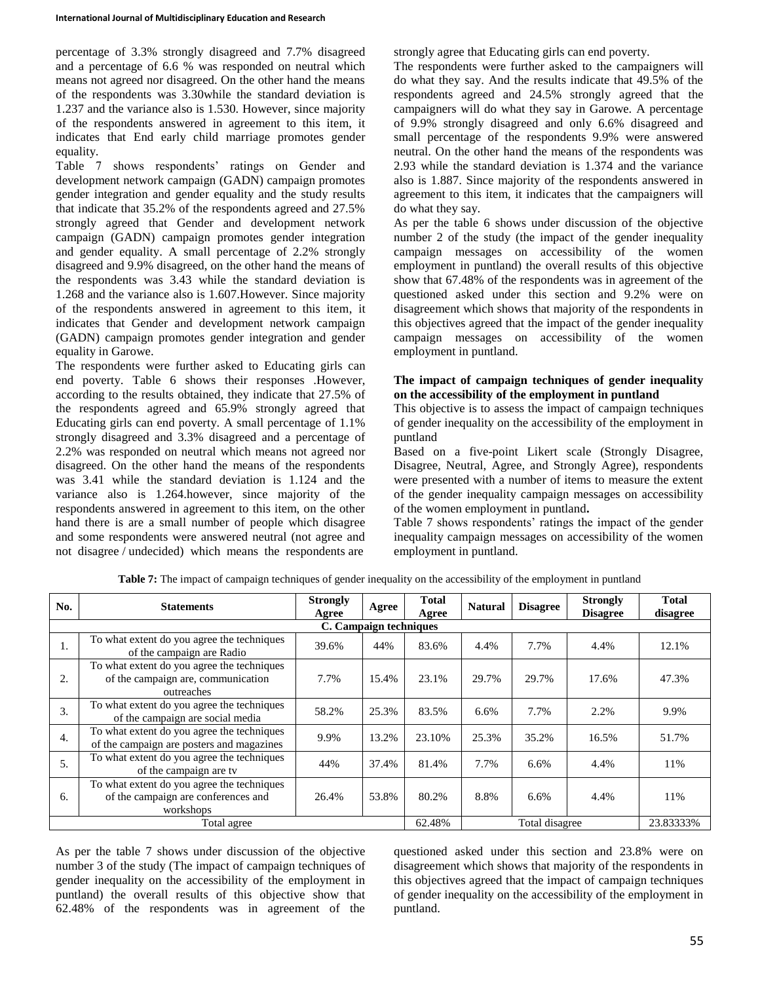percentage of 3.3% strongly disagreed and 7.7% disagreed and a percentage of 6.6 % was responded on neutral which means not agreed nor disagreed. On the other hand the means of the respondents was 3.30while the standard deviation is 1.237 and the variance also is 1.530. However, since majority of the respondents answered in agreement to this item, it indicates that End early child marriage promotes gender equality.

Table 7 shows respondents' ratings on Gender and development network campaign (GADN) campaign promotes gender integration and gender equality and the study results that indicate that 35.2% of the respondents agreed and 27.5% strongly agreed that Gender and development network campaign (GADN) campaign promotes gender integration and gender equality. A small percentage of 2.2% strongly disagreed and 9.9% disagreed, on the other hand the means of the respondents was 3.43 while the standard deviation is 1.268 and the variance also is 1.607.However. Since majority of the respondents answered in agreement to this item, it indicates that Gender and development network campaign (GADN) campaign promotes gender integration and gender equality in Garowe.

The respondents were further asked to Educating girls can end poverty. Table 6 shows their responses .However, according to the results obtained, they indicate that 27.5% of the respondents agreed and 65.9% strongly agreed that Educating girls can end poverty. A small percentage of 1.1% strongly disagreed and 3.3% disagreed and a percentage of 2.2% was responded on neutral which means not agreed nor disagreed. On the other hand the means of the respondents was 3.41 while the standard deviation is 1.124 and the variance also is 1.264.however, since majority of the respondents answered in agreement to this item, on the other hand there is are a small number of people which disagree and some respondents were answered neutral (not agree and not disagree / undecided) which means the respondents are

strongly agree that Educating girls can end poverty.

The respondents were further asked to the campaigners will do what they say. And the results indicate that 49.5% of the respondents agreed and 24.5% strongly agreed that the campaigners will do what they say in Garowe. A percentage of 9.9% strongly disagreed and only 6.6% disagreed and small percentage of the respondents 9.9% were answered neutral. On the other hand the means of the respondents was 2.93 while the standard deviation is 1.374 and the variance also is 1.887. Since majority of the respondents answered in agreement to this item, it indicates that the campaigners will do what they say.

As per the table 6 shows under discussion of the objective number 2 of the study (the impact of the gender inequality campaign messages on accessibility of the women employment in puntland) the overall results of this objective show that 67.48% of the respondents was in agreement of the questioned asked under this section and 9.2% were on disagreement which shows that majority of the respondents in this objectives agreed that the impact of the gender inequality campaign messages on accessibility of the women employment in puntland.

## **The impact of campaign techniques of gender inequality on the accessibility of the employment in puntland**

This objective is to assess the impact of campaign techniques of gender inequality on the accessibility of the employment in puntland

Based on a five-point Likert scale (Strongly Disagree, Disagree, Neutral, Agree, and Strongly Agree), respondents were presented with a number of items to measure the extent of the gender inequality campaign messages on accessibility of the women employment in puntland**.**

Table 7 shows respondents' ratings the impact of the gender inequality campaign messages on accessibility of the women employment in puntland.

| No.              | <b>Statements</b>                                                                              | <b>Strongly</b><br>Agree | Agree                  | <b>Total</b><br>Agree | <b>Natural</b> | <b>Disagree</b> | <b>Strongly</b><br><b>Disagree</b> | <b>Total</b><br>disagree |
|------------------|------------------------------------------------------------------------------------------------|--------------------------|------------------------|-----------------------|----------------|-----------------|------------------------------------|--------------------------|
|                  |                                                                                                |                          | C. Campaign techniques |                       |                |                 |                                    |                          |
| 1.               | To what extent do you agree the techniques<br>of the campaign are Radio                        | 39.6%                    | 44%                    | 83.6%                 | 4.4%           | 7.7%            | 4.4%                               | 12.1%                    |
| 2.               | To what extent do you agree the techniques<br>of the campaign are, communication<br>outreaches | 7.7%                     | 15.4%                  | 23.1%                 | 29.7%          | 29.7%           | 17.6%                              | 47.3%                    |
| 3.               | To what extent do you agree the techniques<br>of the campaign are social media                 | 58.2%                    | 25.3%                  | 83.5%                 | 6.6%           | 7.7%            | 2.2%                               | 9.9%                     |
| $\overline{4}$ . | To what extent do you agree the techniques<br>of the campaign are posters and magazines        | 9.9%                     | 13.2%                  | 23.10%                | 25.3%          | 35.2%           | 16.5%                              | 51.7%                    |
| 5.               | To what extent do you agree the techniques<br>of the campaign are ty                           | 44%                      | 37.4%                  | 81.4%                 | 7.7%           | 6.6%            | 4.4%                               | 11%                      |
| 6.               | To what extent do you agree the techniques<br>of the campaign are conferences and<br>workshops | 26.4%                    | 53.8%                  | 80.2%                 | 8.8%           | 6.6%            | 4.4%                               | 11%                      |
|                  | Total agree                                                                                    | 62.48%                   |                        | Total disagree        |                | 23.83333%       |                                    |                          |

**Table 7:** The impact of campaign techniques of gender inequality on the accessibility of the employment in puntland

As per the table 7 shows under discussion of the objective number 3 of the study (The impact of campaign techniques of gender inequality on the accessibility of the employment in puntland) the overall results of this objective show that 62.48% of the respondents was in agreement of the questioned asked under this section and 23.8% were on disagreement which shows that majority of the respondents in this objectives agreed that the impact of campaign techniques of gender inequality on the accessibility of the employment in puntland.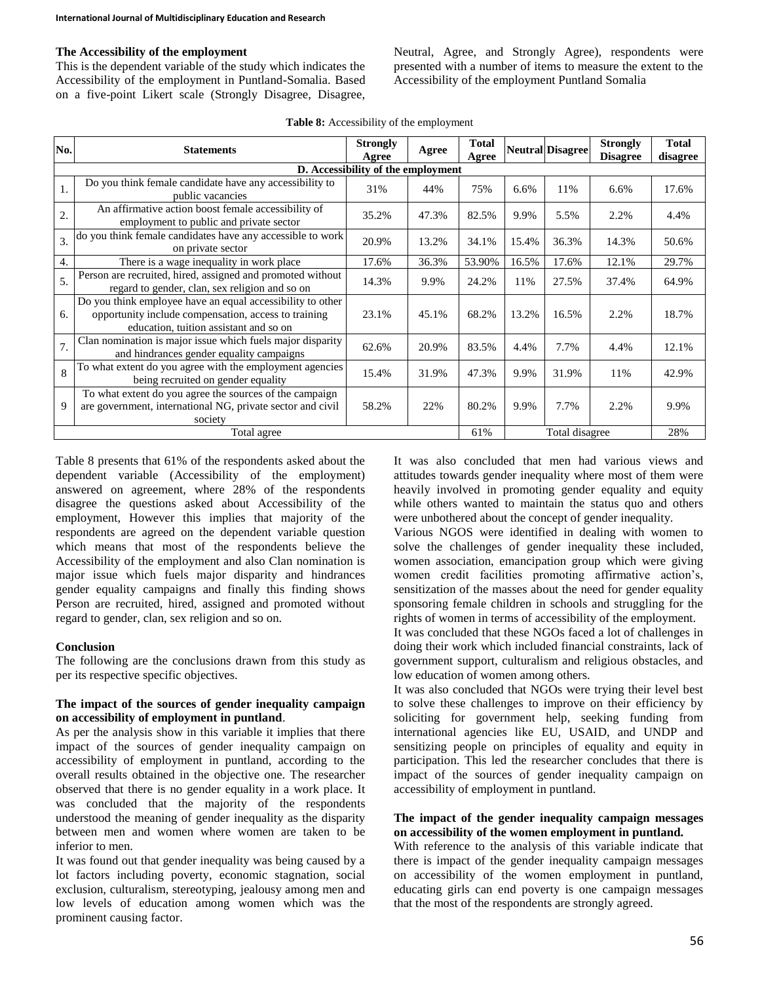# **The Accessibility of the employment**

This is the dependent variable of the study which indicates the Accessibility of the employment in Puntland-Somalia. Based on a five-point Likert scale (Strongly Disagree, Disagree, Neutral, Agree, and Strongly Agree), respondents were presented with a number of items to measure the extent to the Accessibility of the employment Puntland Somalia

**Table 8:** Accessibility of the employment

| No.                                | <b>Statements</b>                                                                                                                                            | <b>Strongly</b><br>Agree | Agree | <b>Total</b><br>Agree |       | <b>Neutral Disagree</b> | <b>Strongly</b><br><b>Disagree</b> | <b>Total</b><br>disagree |  |
|------------------------------------|--------------------------------------------------------------------------------------------------------------------------------------------------------------|--------------------------|-------|-----------------------|-------|-------------------------|------------------------------------|--------------------------|--|
| D. Accessibility of the employment |                                                                                                                                                              |                          |       |                       |       |                         |                                    |                          |  |
| 1.                                 | Do you think female candidate have any accessibility to<br>public vacancies                                                                                  | 31%                      | 44%   | 75%                   | 6.6%  | 11%                     | $6.6\%$                            | 17.6%                    |  |
| $\overline{2}$                     | An affirmative action boost female accessibility of<br>employment to public and private sector                                                               | 35.2%                    | 47.3% | 82.5%                 | 9.9%  | 5.5%                    | 2.2%                               | 4.4%                     |  |
| 3.                                 | do you think female candidates have any accessible to work<br>on private sector                                                                              | 20.9%                    | 13.2% | 34.1%                 | 15.4% | 36.3%                   | 14.3%                              | 50.6%                    |  |
| 4.                                 | There is a wage inequality in work place                                                                                                                     | 17.6%                    | 36.3% | 53.90%                | 16.5% | 17.6%                   | 12.1%                              | 29.7%                    |  |
| 5.                                 | Person are recruited, hired, assigned and promoted without<br>regard to gender, clan, sex religion and so on                                                 | 14.3%                    | 9.9%  | 24.2%                 | 11%   | 27.5%                   | 37.4%                              | 64.9%                    |  |
| 6.                                 | Do you think employee have an equal accessibility to other<br>opportunity include compensation, access to training<br>education, tuition assistant and so on | 23.1%                    | 45.1% | 68.2%                 | 13.2% | 16.5%                   | 2.2%                               | 18.7%                    |  |
| 7.                                 | Clan nomination is major issue which fuels major disparity<br>and hindrances gender equality campaigns                                                       | 62.6%                    | 20.9% | 83.5%                 | 4.4%  | 7.7%                    | 4.4%                               | 12.1%                    |  |
| 8                                  | To what extent do you agree with the employment agencies<br>being recruited on gender equality                                                               | 15.4%                    | 31.9% | 47.3%                 | 9.9%  | 31.9%                   | 11%                                | 42.9%                    |  |
| 9                                  | To what extent do you agree the sources of the campaign<br>are government, international NG, private sector and civil<br>society                             | 58.2%                    | 22%   | 80.2%                 | 9.9%  | 7.7%                    | 2.2%                               | 9.9%                     |  |
|                                    | Total agree                                                                                                                                                  | 61%                      |       | Total disagree        |       | 28%                     |                                    |                          |  |

Table 8 presents that 61% of the respondents asked about the dependent variable (Accessibility of the employment) answered on agreement, where 28% of the respondents disagree the questions asked about Accessibility of the employment, However this implies that majority of the respondents are agreed on the dependent variable question which means that most of the respondents believe the Accessibility of the employment and also Clan nomination is major issue which fuels major disparity and hindrances gender equality campaigns and finally this finding shows Person are recruited, hired, assigned and promoted without regard to gender, clan, sex religion and so on.

## **Conclusion**

The following are the conclusions drawn from this study as per its respective specific objectives.

### **The impact of the sources of gender inequality campaign on accessibility of employment in puntland**.

As per the analysis show in this variable it implies that there impact of the sources of gender inequality campaign on accessibility of employment in puntland, according to the overall results obtained in the objective one. The researcher observed that there is no gender equality in a work place. It was concluded that the majority of the respondents understood the meaning of gender inequality as the disparity between men and women where women are taken to be inferior to men.

It was found out that gender inequality was being caused by a lot factors including poverty, economic stagnation, social exclusion, culturalism, stereotyping, jealousy among men and low levels of education among women which was the prominent causing factor.

It was also concluded that men had various views and attitudes towards gender inequality where most of them were heavily involved in promoting gender equality and equity while others wanted to maintain the status quo and others were unbothered about the concept of gender inequality.

Various NGOS were identified in dealing with women to solve the challenges of gender inequality these included, women association, emancipation group which were giving women credit facilities promoting affirmative action's, sensitization of the masses about the need for gender equality sponsoring female children in schools and struggling for the rights of women in terms of accessibility of the employment.

It was concluded that these NGOs faced a lot of challenges in doing their work which included financial constraints, lack of government support, culturalism and religious obstacles, and low education of women among others.

It was also concluded that NGOs were trying their level best to solve these challenges to improve on their efficiency by soliciting for government help, seeking funding from international agencies like EU, USAID, and UNDP and sensitizing people on principles of equality and equity in participation. This led the researcher concludes that there is impact of the sources of gender inequality campaign on accessibility of employment in puntland.

### **The impact of the gender inequality campaign messages on accessibility of the women employment in puntland.**

With reference to the analysis of this variable indicate that there is impact of the gender inequality campaign messages on accessibility of the women employment in puntland, educating girls can end poverty is one campaign messages that the most of the respondents are strongly agreed.